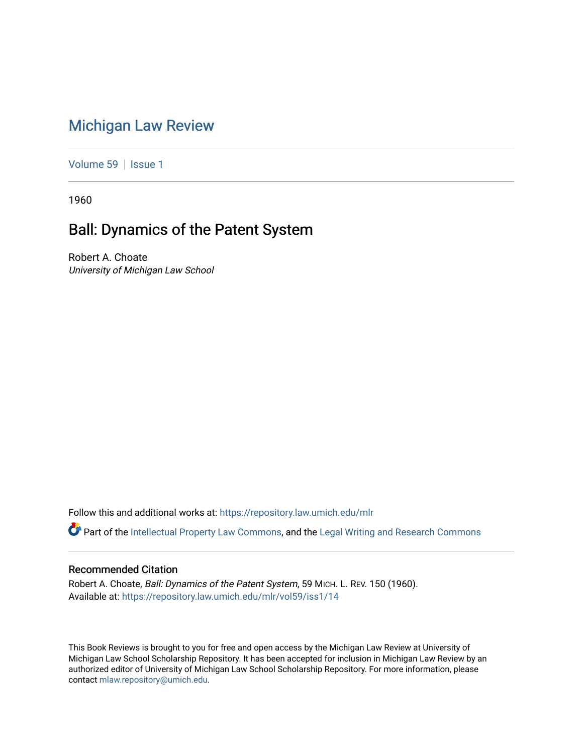## [Michigan Law Review](https://repository.law.umich.edu/mlr)

[Volume 59](https://repository.law.umich.edu/mlr/vol59) | [Issue 1](https://repository.law.umich.edu/mlr/vol59/iss1)

1960

## Ball: Dynamics of the Patent System

Robert A. Choate University of Michigan Law School

Follow this and additional works at: [https://repository.law.umich.edu/mlr](https://repository.law.umich.edu/mlr?utm_source=repository.law.umich.edu%2Fmlr%2Fvol59%2Fiss1%2F14&utm_medium=PDF&utm_campaign=PDFCoverPages) 

Part of the [Intellectual Property Law Commons,](http://network.bepress.com/hgg/discipline/896?utm_source=repository.law.umich.edu%2Fmlr%2Fvol59%2Fiss1%2F14&utm_medium=PDF&utm_campaign=PDFCoverPages) and the [Legal Writing and Research Commons](http://network.bepress.com/hgg/discipline/614?utm_source=repository.law.umich.edu%2Fmlr%2Fvol59%2Fiss1%2F14&utm_medium=PDF&utm_campaign=PDFCoverPages)

## Recommended Citation

Robert A. Choate, Ball: Dynamics of the Patent System, 59 MICH. L. REV. 150 (1960). Available at: [https://repository.law.umich.edu/mlr/vol59/iss1/14](https://repository.law.umich.edu/mlr/vol59/iss1/14?utm_source=repository.law.umich.edu%2Fmlr%2Fvol59%2Fiss1%2F14&utm_medium=PDF&utm_campaign=PDFCoverPages) 

This Book Reviews is brought to you for free and open access by the Michigan Law Review at University of Michigan Law School Scholarship Repository. It has been accepted for inclusion in Michigan Law Review by an authorized editor of University of Michigan Law School Scholarship Repository. For more information, please contact [mlaw.repository@umich.edu](mailto:mlaw.repository@umich.edu).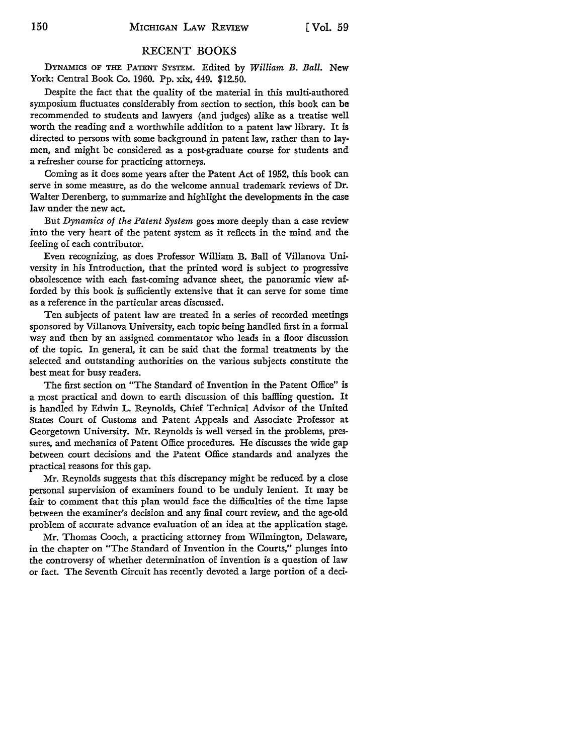## RECENT BOOKS

DYNAMICS OF THE PATENT SYSTEM. Edited by *William B. Ball.* New York: Central Book Co. 1960. Pp. xix, 449. \$12.50.

Despite the fact that the quality of the material in this multi-authored symposium fluctuates considerably from section to section, this book can be recommended to students and lawyers (and judges) alike as a treatise well worth the reading and a worthwhile addition to a patent law library. It is directed to persons with some background in patent law, rather than to laymen, and might be considered as a post-graduate course for students and a refresher course for practicing attorneys.

Coming as it does some years after the Patent Act of 1952, this book can serve in some measure, as do the welcome annual trademark reviews of Dr. Walter Derenberg, to summarize and highlight the developments in the case law under the new act.

But *Dynamics of the Patent System* goes more deeply than a case review into the very heart of the patent system as it reflects in the mind and the feeling of each contributor.

Even recognizing, as does Professor William B. Ball of Villanova University in his Introduction, that the printed word is subject to progressive obsolescence with each fast-coming advance sheet, the panoramic view afforded by this book is sufficiently extensive that it can serve for some time as a reference in the particular areas discussed.

Ten subjects of patent law are treated in a series of recorded meetings sponsored by Villanova University, each topic being handled first in a formal way and then by an assigned commentator who leads in a floor discussion of the topic. In general, it can be said that the formal treatments by the selected and outstanding authorities on the various subjects constitute the best meat for busy readers.

The first section on "The Standard of Invention in the Patent Office" is a most practical and down to earth discussion of this baffling question. It is handled by Edwin L. Reynolds, Chief Technical Advisor of the United States Court of Customs and Patent Appeals and Associate Professor at Georgetown University. Mr. Reynolds is well versed in the problems, pressures, and mechanics of Patent Office procedures. He discusses the wide gap between court decisions and the Patent Office standards and analyzes the practical reasons for this gap.

Mr. Reynolds suggests that this discrepancy might be reduced by a close personal supervision of examiners found to be unduly lenient. It may be fair to comment that this plan would face the difficulties of the time lapse between the examiner's decision and any final court review, and the age-old problem of accurate advance evaluation of an idea at the application stage.

Mr. Thomas Cooch, a practicing attorney from Wilmington, Delaware, in the chapter on "The Standard of Invention in the Courts," plunges into the controversy of whether determination of invention is a question of law or fact. The Seventh Circuit has recently devoted a large portion of a deci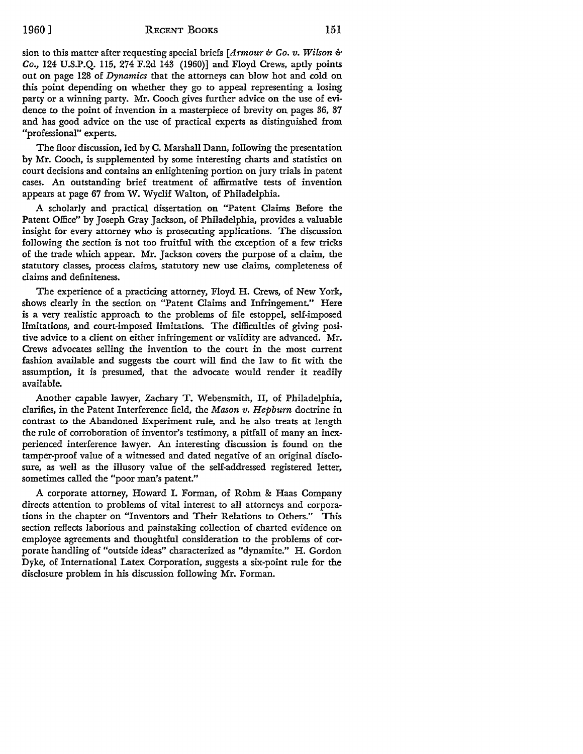sion to this matter after requesting special briefs *[Armour b Co. v. Wilson b Co.,* 124 U.S.P.Q. ll5, 274 F.2d 143 (1960)] and Floyd Crews, aptly points out on page 128 of *Dynamics* that the attorneys can blow hot and cold on this point depending on whether they go to appeal representing a losing party or a winning party. Mr. Cooch gives further advice on the use of evidence to the point of invention in a masterpiece of brevity on pages 36, 37 and has good advice on the use of practical experts as distinguished from "professional" experts.

The floor discussion, led by C. Marshall Dann, following the presentation by Mr. Cooch, is supplemented by some interesting charts and statistics on court decisions and contains an enlightening portion on jury trials in patent cases. An outstanding brief treatment of affirmative tests of invention appears at page 67 from W. Wyclif Walton, of Philadelphia.

A scholarly and practical dissertation on "Patent Claims Before the Patent Office" by Joseph Gray Jackson, of Philadelphia, provides a valuable insight for every attorney who is prosecuting applications. The discussion following the section is not too fruitful with the exception of a few tricks of the trade which appear. Mr. Jackson covers the purpose of a claim, the statutory classes, process claims, statutory new use claims, completeness of claims and definiteness.

The experience of a practicing attorney, Floyd H. Crews, of New York, shows clearly in the section on "Patent Claims and Infringement.'' Here is a very realistic approach to the problems of file estoppel, self-imposed limitations, and court-imposed limitations. The difficulties of giving positive advice to a client on either infringement or validity are advanced. Mr. Crews advocates selling the invention to the court in the most current fashion available and suggests the court will find the law to fit with the assumption, it is presumed, that the advocate would render it readily available.

Another capable lawyer, Zachary T. Webensmith, II, of Philadelphia, clarifies, in the Patent Interference field, the *Mason v. Hepburn* doctrine in contrast to the Abandoned Experiment rule, and he also treats at length the rule of corroboration of inventor's testimony, a pitfall of many an inexperienced interference lawyer. An interesting discussion is found on the tamper-proof value of a witnessed and dated negative of an original disclosure, as well as the illusory value of the self-addressed registered letter, sometimes called the "poor man's patent."

A corporate attorney, Howard I. Forman, of Rohm &: Haas Company directs attention to problems of vital interest to all attorneys and corporations in the chapter on "Inventors and Their Relations to Others.'' This section reflects laborious and painstaking collection of charted evidence on employee agreements and thoughtful consideration to the problems of corporate handling of "outside ideas" characterized as "dynamite.'' H. Gordon Dyke, of International Latex Corporation, suggests a six-point rule for the disclosure problem in his discussion following Mr. Forman.